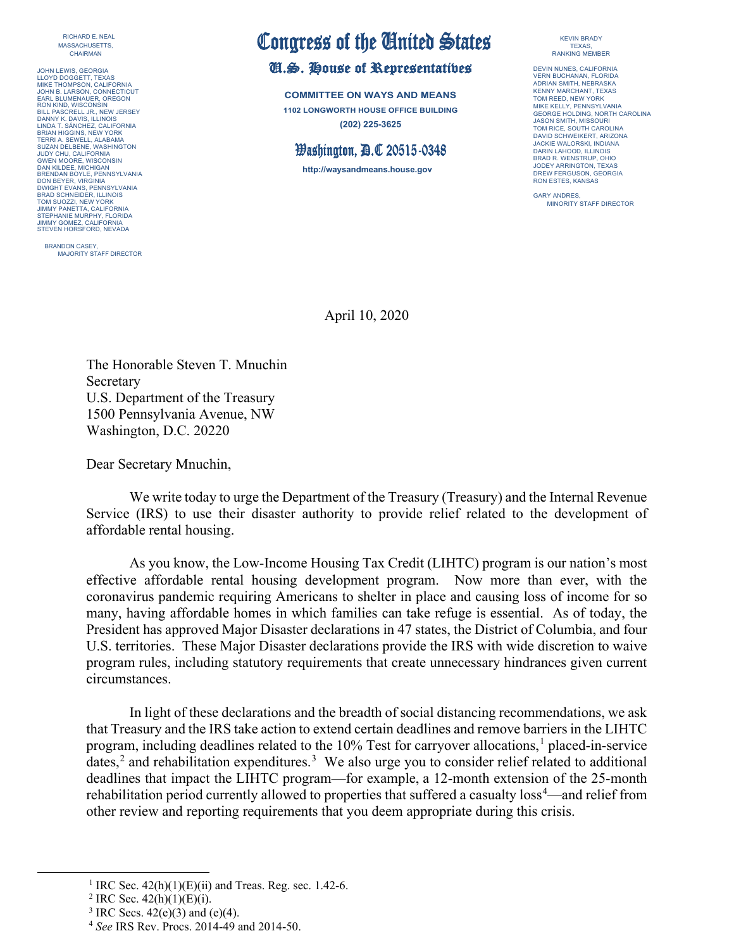RICHARD E. NEAL MASSACHUSETTS, CHAIRMAN

JOHN LEWIS, GEORGIA LLOYD DOGGETT, TEXAS MIKE THOMPSON, CALIFORNIA JOHN B. LARSON, CONNECTICUT EARL BLUMENAUER, OREGON RON KIND, WISCONSIN BILL PASCRELL JR., NEW JERSEY DANNY K. DAVIS, ILLINOIS LINDA T. SÁNCHEZ, CALIFORNIA BRIAN HIGGINS, NEW YORK TERRI A. SEWELL, ALABAMA SUZAN DELBENE, WASHINGTON JUDY CHU, CALIFORNIA GWEN MOORE, WISCONSIN DAN KILDEE, MICHIGAN BRENDAN BOYLE, PENNSYLVANIA DON BEYER, VIRGINIA DWIGHT EVANS, PENNSYLVANIA BRAD SCHNEIDER, ILLINOIS TOM SUOZZI, NEW YORK JIMMY PANETTA, CALIFORNIA STEPHANIE MURPHY, FLORIDA JIMMY GOMEZ, CALIFORNIA STEVEN HORSFORD, NEVADA

BRANDON CASEY, MAJORITY STAFF DIRECTOR

## Congress of the United States<br>U.S. House of Representatives

**COMMITTEE ON WAYS AND MEANS 1102 LONGWORTH HOUSE OFFICE BUILDING (202) 225-3625**

## $\mathcal B$ ashington,  $\mathcal B\mathcal A$  20515-0348

**http://waysandmeans.house.gov**

KEVIN BRADY TEXAS, RANKING MEMBER

DEVIN NUNES, CALIFORNIA VERN BUCHANAN, FLORIDA ADRIAN SMITH, NEBRASKA KENNY MARCHANT, TEXAS TOM REED, NEW YORK MIKE KELLY, PENNSYLVANIA GEORGE HOLDING, NORTH CAROLINA JASON SMITH, MISSOURI TOM RICE, SOUTH CAROLINA DAVID SCHWEIKERT, ARIZON JACKIE WALORSKI, INDIANA DARIN LAHOOD, ILLINOIS BRAD R. WENSTRUP, OHIO JODEY ARRINGTON, TEXAS DREW FERGUSON, GEORGIA RON ESTES, KANSAS

GARY ANDRES, MINORITY STAFF DIRECTOR

April 10, 2020

The Honorable Steven T. Mnuchin Secretary U.S. Department of the Treasury 1500 Pennsylvania Avenue, NW Washington, D.C. 20220

Dear Secretary Mnuchin,

We write today to urge the Department of the Treasury (Treasury) and the Internal Revenue Service (IRS) to use their disaster authority to provide relief related to the development of affordable rental housing.

As you know, the Low-Income Housing Tax Credit (LIHTC) program is our nation's most effective affordable rental housing development program. Now more than ever, with the coronavirus pandemic requiring Americans to shelter in place and causing loss of income for so many, having affordable homes in which families can take refuge is essential. As of today, the President has approved Major Disaster declarations in 47 states, the District of Columbia, and four U.S. territories. These Major Disaster declarations provide the IRS with wide discretion to waive program rules, including statutory requirements that create unnecessary hindrances given current circumstances.

In light of these declarations and the breadth of social distancing recommendations, we ask that Treasury and the IRS take action to extend certain deadlines and remove barriers in the LIHTC program, including deadlines related to the [1](#page-0-0)0% Test for carryover allocations,<sup>1</sup> placed-in-service dates,<sup>[2](#page-0-1)</sup> and rehabilitation expenditures.<sup>[3](#page-0-2)</sup> We also urge you to consider relief related to additional deadlines that impact the LIHTC program—for example, a 12-month extension of the 25-month rehabilitation period currently allowed to properties that suffered a casualty loss<sup>[4](#page-0-3)</sup>—and relief from other review and reporting requirements that you deem appropriate during this crisis.

<span id="page-0-0"></span><sup>&</sup>lt;sup>1</sup> IRC Sec.  $42(h)(1)(E)(ii)$  and Treas. Reg. sec. 1.42-6.

<span id="page-0-1"></span><sup>&</sup>lt;sup>2</sup> IRC Sec.  $42(h)(1)(E)(i)$ .

<span id="page-0-2"></span><sup>&</sup>lt;sup>3</sup> IRC Secs.  $42(e)(3)$  and  $(e)(4)$ .

<span id="page-0-3"></span><sup>4</sup> *See* IRS Rev. Procs. 2014-49 and 2014-50.